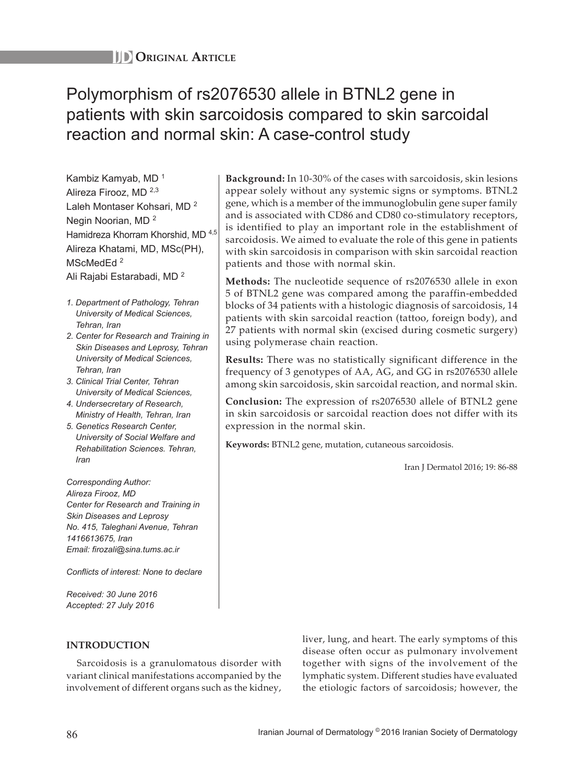# Polymorphism of rs2076530 allele in BTNL2 gene in patients with skin sarcoidosis compared to skin sarcoidal reaction and normal skin: A case-control study

Kambiz Kamyab, MD <sup>1</sup> Alireza Firooz, MD 2,3 Laleh Montaser Kohsari, MD <sup>2</sup> Negin Noorian, MD <sup>2</sup> Hamidreza Khorram Khorshid, MD 4,5 Alireza Khatami, MD, MSc(PH), MScMedEd<sup>2</sup>

Ali Rajabi Estarabadi, MD <sup>2</sup>

- *1. Department of Pathology, Tehran University of Medical Sciences, Tehran, Iran*
- *2. Center for Research and Training in Skin Diseases and Leprosy, Tehran University of Medical Sciences, Tehran, Iran*
- *3. Clinical Trial Center, Tehran University of Medical Sciences,*
- *4. Undersecretary of Research, Ministry of Health, Tehran, Iran*
- *5. Genetics Research Center, University of Social Welfare and Rehabilitation Sciences. Tehran, Iran*

*Corresponding Author: Alireza Firooz, MD Center for Research and Training in Skin Diseases and Leprosy No. 415, Taleghani Avenue, Tehran 1416613675, Iran Email: firozali@sina.tums.ac.ir*

*Conflicts of interest: None to declare*

*Received: 30 June 2016 Accepted: 27 July 2016*

**INTRODUCTION**

Sarcoidosis is a granulomatous disorder with variant clinical manifestations accompanied by the involvement of different organs such as the kidney,

**Background:** In 10-30% of the cases with sarcoidosis, skin lesions appear solely without any systemic signs or symptoms. BTNL2 gene, which is a member of the immunoglobulin gene super family and is associated with CD86 and CD80 co-stimulatory receptors, is identified to play an important role in the establishment of sarcoidosis. We aimed to evaluate the role of this gene in patients with skin sarcoidosis in comparison with skin sarcoidal reaction patients and those with normal skin.

**Methods:** The nucleotide sequence of rs2076530 allele in exon 5 of BTNL2 gene was compared among the paraffin-embedded blocks of 34 patients with a histologic diagnosis of sarcoidosis, 14 patients with skin sarcoidal reaction (tattoo, foreign body), and 27 patients with normal skin (excised during cosmetic surgery) using polymerase chain reaction.

**Results:** There was no statistically significant difference in the frequency of 3 genotypes of AA, AG, and GG in rs2076530 allele among skin sarcoidosis, skin sarcoidal reaction, and normal skin.

**Conclusion:** The expression of rs2076530 allele of BTNL2 gene in skin sarcoidosis or sarcoidal reaction does not differ with its expression in the normal skin.

**Keywords:** BTNL2 gene, mutation, cutaneous sarcoidosis.

Iran J Dermatol 2016; 19: 86-88

liver, lung, and heart. The early symptoms of this disease often occur as pulmonary involvement together with signs of the involvement of the lymphatic system. Different studies have evaluated the etiologic factors of sarcoidosis; however, the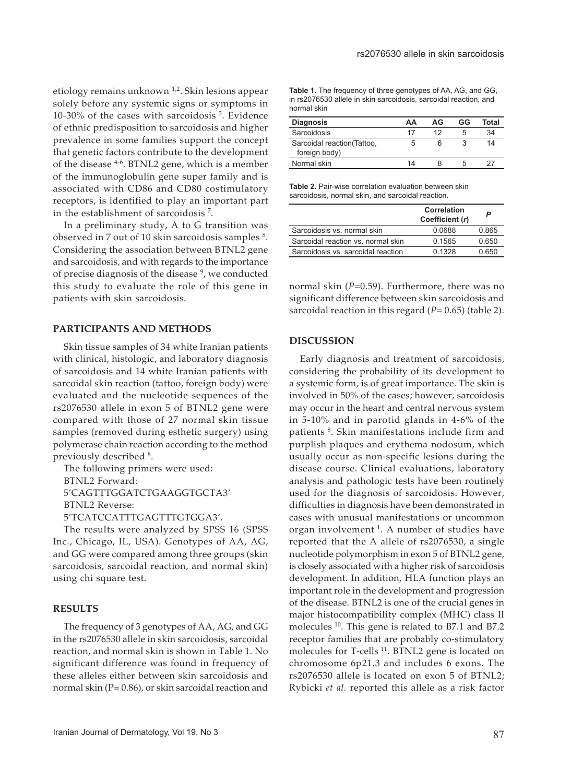rs2076530 allele in skin sarcoidosis

etiology remains unknown  $1,2$ . Skin lesions appear solely before any systemic signs or symptoms in 10-30% of the cases with sarcoidosis  $3$ . Evidence of ethnic predisposition to sarcoidosis and higher prevalence in some families support the concept that genetic factors contribute to the development of the disease 4-6. BTNL2 gene, which is a member of the immunoglobulin gene super family and is associated with CD86 and CD80 costimulatory receptors, is identified to play an important part in the establishment of sarcoidosis <sup>7</sup> .

In a preliminary study, A to G transition was observed in 7 out of 10 skin sarcoidosis samples <sup>8</sup>. Considering the association between BTNL2 gene and sarcoidosis, and with regards to the importance of precise diagnosis of the disease<sup>9</sup>, we conducted this study to evaluate the role of this gene in patients with skin sarcoidosis.

## **PARTICIPANTS AND METHODS**

Skin tissue samples of 34 white Iranian patients with clinical, histologic, and laboratory diagnosis of sarcoidosis and 14 white Iranian patients with sarcoidal skin reaction (tattoo, foreign body) were evaluated and the nucleotide sequences of the rs2076530 allele in exon 5 of BTNL2 gene were compared with those of 27 normal skin tissue samples (removed during esthetic surgery) using polymerase chain reaction according to the method previously described  $^8$ .

The following primers were used: BTNL2 Forward: 5'CAGTTTGGATCTGAAGGTGCTA3' BTNL2 Reverse: 5'TCATCCATTTGAGTTTGTGGA3'.

The results were analyzed by SPSS 16 (SPSS Inc., Chicago, IL, USA). Genotypes of AA, AG, and GG were compared among three groups (skin sarcoidosis, sarcoidal reaction, and normal skin) using chi square test.

### **RESULTS**

The frequency of 3 genotypes of AA, AG, and GG in the rs2076530 allele in skin sarcoidosis, sarcoidal reaction, and normal skin is shown in Table 1. No significant difference was found in frequency of these alleles either between skin sarcoidosis and normal skin (P= 0.86), or skin sarcoidal reaction and

**Table 1.** The frequency of three genotypes of AA, AG, and GG, in rs2076530 allele in skin sarcoidosis, sarcoidal reaction, and normal skin

| <b>Diagnosis</b>                             | ΔА | AG | GG | Total |
|----------------------------------------------|----|----|----|-------|
| Sarcoidosis                                  | 17 | 12 | .h | 34    |
| Sarcoidal reaction (Tattoo,<br>foreign body) |    | რ  |    | 14    |
| Normal skin                                  | 14 | x  | .5 |       |

**Table 2.** Pair-wise correlation evaluation between skin sarcoidosis, normal skin, and sarcoidal reaction.

|                                    | Correlation<br>Coefficient (r) | P     |
|------------------------------------|--------------------------------|-------|
| Sarcoidosis vs. normal skin        | 0.0688                         | 0.865 |
| Sarcoidal reaction vs. normal skin | 0.1565                         | 0.650 |
| Sarcoidosis vs. sarcoidal reaction | 0 1328                         | 0.650 |

normal skin (*P*=0.59). Furthermore, there was no significant difference between skin sarcoidosis and sarcoidal reaction in this regard  $(P= 0.65)$  (table 2).

#### **DISCUSSION**

Early diagnosis and treatment of sarcoidosis, considering the probability of its development to a systemic form, is of great importance. The skin is involved in 50% of the cases; however, sarcoidosis may occur in the heart and central nervous system in 5-10% and in parotid glands in 4-6% of the patients <sup>8</sup>. Skin manifestations include firm and purplish plaques and erythema nodosum, which usually occur as non-specific lesions during the disease course. Clinical evaluations, laboratory analysis and pathologic tests have been routinely used for the diagnosis of sarcoidosis. However, difficulties in diagnosis have been demonstrated in cases with unusual manifestations or uncommon organ involvement  $1$ . A number of studies have reported that the A allele of rs2076530, a single nucleotide polymorphism in exon 5 of BTNL2 gene, is closely associated with a higher risk of sarcoidosis development. In addition, HLA function plays an important role in the development and progression of the disease. BTNL2 is one of the crucial genes in major histocompatibility complex (MHC) class II molecules <sup>10</sup>. This gene is related to B7.1 and B7.2 receptor families that are probably co-stimulatory molecules for T-cells <sup>11</sup>. BTNL2 gene is located on chromosome 6p21.3 and includes 6 exons. The rs2076530 allele is located on exon 5 of BTNL2; Rybicki *et al.* reported this allele as a risk factor